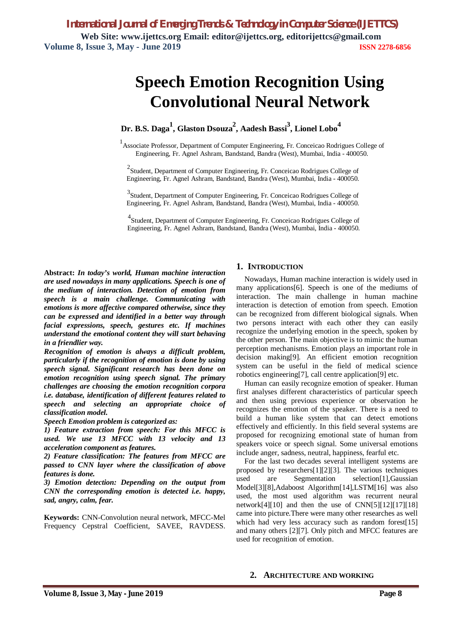*International Journal of Emerging Trends & Technology in Computer Science (IJETTCS)* **Web Site: www.ijettcs.org Email: editor@ijettcs.org, editorijettcs@gmail.com Volume 8, Issue 3, May - June 2019 ISSN 2278-6856**

# **Speech Emotion Recognition Using Convolutional Neural Network**

**Dr. B.S. Daga<sup>1</sup> , Glaston Dsouza<sup>2</sup> , Aadesh Bassi<sup>3</sup> , Lionel Lobo<sup>4</sup>**

<sup>1</sup> Associate Professor, Department of Computer Engineering, Fr. Conceicao Rodrigues College of Engineering, Fr. Agnel Ashram, Bandstand, Bandra (West), Mumbai, India - 400050.

 $2$ Student, Department of Computer Engineering, Fr. Conceicao Rodrigues College of Engineering, Fr. Agnel Ashram, Bandstand, Bandra (West), Mumbai, India - 400050.

<sup>3</sup> Student, Department of Computer Engineering, Fr. Conceicao Rodrigues College of Engineering, Fr. Agnel Ashram, Bandstand, Bandra (West), Mumbai, India - 400050.

4 Student, Department of Computer Engineering, Fr. Conceicao Rodrigues College of Engineering, Fr. Agnel Ashram, Bandstand, Bandra (West), Mumbai, India - 400050.

**Abstract:** *In today's world, Human machine interaction are used nowadays in many applications. Speech is one of the medium of interaction. Detection of emotion from speech is a main challenge. Communicating with emotions is more affective compared otherwise, since they can be expressed and identified in a better way through facial expressions, speech, gestures etc. If machines understand the emotional content they will start behaving in a friendlier way.*

*Recognition of emotion is always a difficult problem, particularly if the recognition of emotion is done by using speech signal. Significant research has been done on emotion recognition using speech signal. The primary challenges are choosing the emotion recognition corpora i.e. database, identification of different features related to speech and selecting an appropriate choice of classification model.*

*Speech Emotion problem is categorized as:*

*1) Feature extraction from speech: For this MFCC is used. We use 13 MFCC with 13 velocity and 13 acceleration component as features.*

*2) Feature classification: The features from MFCC are passed to CNN layer where the classification of above features is done.*

*3) Emotion detection: Depending on the output from CNN the corresponding emotion is detected i.e. happy, sad, angry, calm, fear.*

**Keywords:** CNN-Convolution neural network, MFCC-Mel Frequency Cepstral Coefficient, SAVEE, RAVDESS.

## **1. INTRODUCTION**

Nowadays, Human machine interaction is widely used in many applications[6]. Speech is one of the mediums of interaction. The main challenge in human machine interaction is detection of emotion from speech. Emotion can be recognized from different biological signals. When two persons interact with each other they can easily recognize the underlying emotion in the speech, spoken by the other person. The main objective is to mimic the human perception mechanisms. Emotion plays an important role in decision making[9]. An efficient emotion recognition system can be useful in the field of medical science robotics engineering[7], call centre application[9] etc.

Human can easily recognize emotion of speaker. Human first analyses different characteristics of particular speech and then using previous experience or observation he recognizes the emotion of the speaker. There is a need to build a human like system that can detect emotions effectively and efficiently. In this field several systems are proposed for recognizing emotional state of human from speakers voice or speech signal. Some universal emotions include anger, sadness, neutral, happiness, fearful etc.

For the last two decades several intelligent systems are proposed by researchers[1][2][3]. The various techniques used are Segmentation selection[1],Gaussian Model[3][8],Adaboost Algorithm[14],LSTM[16] was also used, the most used algorithm was recurrent neural network[4][10] and then the use of CNN[5][12][17][18] came into picture.There were many other researches as well which had very less accuracy such as random forest[15] and many others [2][7]. Only pitch and MFCC features are used for recognition of emotion.

#### **2. ARCHITECTURE AND WORKING**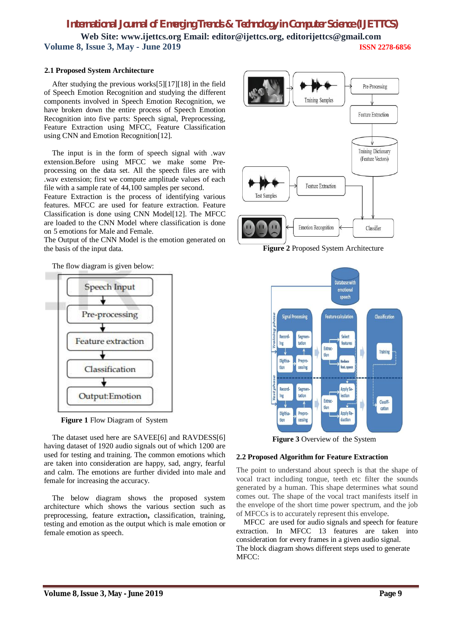*International Journal of Emerging Trends & Technology in Computer Science (IJETTCS)* **Web Site: www.ijettcs.org Email: editor@ijettcs.org, editorijettcs@gmail.com Volume 8, Issue 3, May - June 2019 ISSN 2278-6856**

#### **2.1 Proposed System Architecture**

After studying the previous works[5][17][18] in the field of Speech Emotion Recognition and studying the different components involved in Speech Emotion Recognition, we have broken down the entire process of Speech Emotion Recognition into five parts: Speech signal, Preprocessing, Feature Extraction using MFCC, Feature Classification using CNN and Emotion Recognition[12].

The input is in the form of speech signal with .wav extension.Before using MFCC we make some Preprocessing on the data set. All the speech files are with .wav extension; first we compute amplitude values of each file with a sample rate of 44,100 samples per second.

Feature Extraction is the process of identifying various features. MFCC are used for feature extraction. Feature Classification is done using CNN Model[12]. The MFCC are loaded to the CNN Model where classification is done on 5 emotions for Male and Female.

The Output of the CNN Model is the emotion generated on the basis of the input data.





The dataset used here are SAVEE[6] and RAVDESS[6] having dataset of 1920 audio signals out of which 1200 are used for testing and training. The common emotions which are taken into consideration are happy, sad, angry, fearful and calm. The emotions are further divided into male and female for increasing the accuracy.

The below diagram shows the proposed system architecture which shows the various section such as preprocessing, feature extraction**,** classification, training, testing and emotion as the output which is male emotion or female emotion as speech.



 **Figure 2** Proposed System Architecture



 **Figure 3** Overview of the System

#### **2.2 Proposed Algorithm for Feature Extraction**

The point to understand about speech is that the shape of vocal tract including tongue, teeth etc filter the sounds generated by a human. This shape determines what sound comes out. The shape of the vocal tract manifests itself in the envelope of the short time power spectrum, and the job of MFCCs is to accurately represent this envelope.

 MFCC are used for audio signals and speech for feature extraction. In MFCC 13 features are taken into consideration for every frames in a given audio signal. The block diagram shows different steps used to generate MFCC: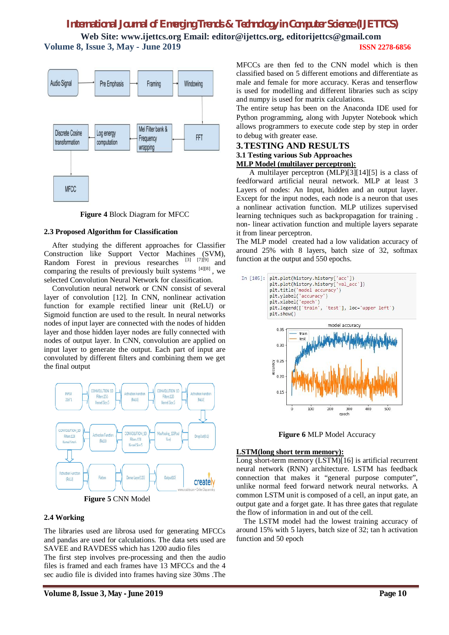# *International Journal of Emerging Trends & Technology in Computer Science (IJETTCS)*

**Web Site: www.ijettcs.org Email: editor@ijettcs.org, editorijettcs@gmail.com Volume 8, Issue 3, May - June 2019 ISSN 2278-6856**



#### **Figure 4** Block Diagram for MFCC

#### **2.3 Proposed Algorithm for Classification**

After studying the different approaches for Classifier Construction like Support Vector Machines (SVM), Random Forest in previous researches  $^{[3]}$   $^{[7]}$  $^{[9]}$  and comparing the results of previously built systems  $[4][8]$ , we selected Convolution Neural Network for classification.

Convolution neural network or CNN consist of several layer of convolution [12]. In CNN, nonlinear activation function for example rectified linear unit (ReLU) or Sigmoid function are used to the result. In neural networks nodes of input layer are connected with the nodes of hidden layer and those hidden layer nodes are fully connected with nodes of output layer. In CNN, convolution are applied on input layer to generate the output. Each part of input are convoluted by different filters and combining them we get the final output



**Figure 5** CNN Model

#### **2.4 Working**

The libraries used are librosa used for generating MFCCs and pandas are used for calculations. The data sets used are SAVEE and RAVDESS which has 1200 audio files

The first step involves pre-processing and then the audio files is framed and each frames have 13 MFCCs and the 4 sec audio file is divided into frames having size 30ms .The MFCCs are then fed to the CNN model which is then classified based on 5 different emotions and differentiate as male and female for more accuracy. Keras and tenserflow is used for modelling and different libraries such as scipy and numpy is used for matrix calculations.

The entire setup has been on the Anaconda IDE used for Python programming, along with Jupyter Notebook which allows programmers to execute code step by step in order to debug with greater ease.

#### **3.TESTING AND RESULTS 3.1 Testing various Sub Approaches MLP Model (multilayer perceptron):**

 A multilayer perceptron (MLP)[3][14][5] is a class of feedforward artificial neural network. MLP at least 3 Layers of nodes: An Input, hidden and an output layer. Except for the input nodes, each node is a neuron that uses a nonlinear activation function. MLP utilizes supervised learning techniques such as backpropagation for training . non- linear activation function and multiple layers separate it from linear perceptron.

The MLP model created had a low validation accuracy of around 25% with 8 layers, batch size of 32, softmax function at the output and 550 epochs.



**Figure 6** MLP Model Accuracy

#### **LSTM(long short term memory):**

Long short-term memory (LSTM)[16] is artificial recurrent neural network (RNN) architecture. LSTM has feedback connection that makes it "general purpose computer", unlike normal feed forward network neural networks. A common LSTM unit is composed of a cell, an input gate, an output gate and a forget gate. It has three gates that regulate the flow of information in and out of the cell.

 The LSTM model had the lowest training accuracy of around 15% with 5 layers, batch size of 32; tan h activation function and 50 epoch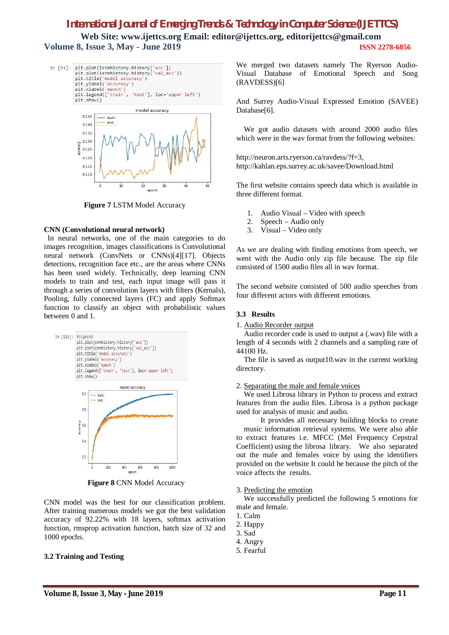# *International Journal of Emerging Trends & Technology in Computer Science (IJETTCS)*

**Web Site: www.ijettcs.org Email: editor@ijettcs.org, editorijettcs@gmail.com Volume 8, Issue 3, May - June 2019 ISSN 2278-6856**





**Figure 7** LSTM Model Accuracy

#### **CNN (Convolutional neural network)**

 In neural networks, one of the main categories to do images recognition, images classifications is Convolutional neural network (ConvNets or CNNs)[4][17]. Objects detections, recognition face etc., are the areas where CNNs has been used widely. Technically, deep learning CNN models to train and test, each input image will pass it through a series of convolution layers with filters (Kernals), Pooling, fully connected layers (FC) and apply Softmax function to classify an object with probabilistic values between 0 and 1.



 **Figure 8** CNN Model Accuracy

CNN model was the best for our classification problem. After training numerous models we got the best validation accuracy of 92.22% with 18 layers, softmax activation function, rmsprop activation function, batch size of 32 and 1000 epochs.

#### **3.2 Training and Testing**

We merged two datasets namely The Ryerson Audio-Visual Database of Emotional Speech and Song (RAVDESS)[6]

And Surrey Audio-Visual Expressed Emotion (SAVEE) Database[6].

We got audio datasets with around 2000 audio files which were in the wav format from the following websites:

http://neuron.arts.ryerson.ca/ravdess/?f=3, http://kahlan.eps.surrey.ac.uk/savee/Download.html

The first website contains speech data which is available in three different format.

- 1. Audio Visual Video with speech
- 2. Speech Audio only
- 3. Visual Video only

As we are dealing with finding emotions from speech, we went with the Audio only zip file because. The zip file consisted of 1500 audio files all in wav format.

The second website consisted of 500 audio speeches from four different actors with different emotions.

#### **3.3 Results**

1. Audio Recorder output

Audio recorder code is used to output a (.wav) file with a length of 4 seconds with 2 channels and a sampling rate of 44100 Hz.

The file is saved as output10.wav in the current working directory.

#### 2. Separating the male and female voices

We used Librosa library in Python to process and extract features from the audio files. Librosa is a python package used for analysis of music and audio.

 It provides all necessary building blocks to create music information retrieval systems. We were also able to extract features i.e. MFCC (Mel Frequency Cepstral Coefficient) using the librosa library. We also separated out the male and females voice by using the identifiers provided on the website It could be because the pitch of the voice affects the results.

#### 3. Predicting the emotion

We successfully predicted the following 5 emotions for male and female.

- 1. Calm
- 2. Happy
- 3. Sad
- 4. Angry
- 5. Fearful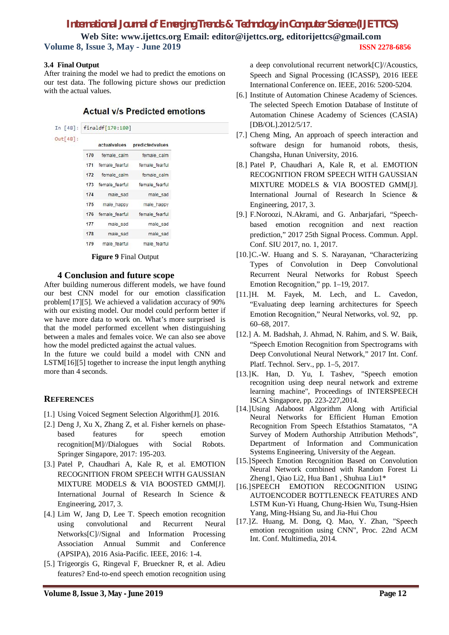# *International Journal of Emerging Trends & Technology in Computer Science (IJETTCS)*

**Web Site: www.ijettcs.org Email: editor@ijettcs.org, editorijettcs@gmail.com Volume 8, Issue 3, May - June 2019 ISSN 2278-6856**

#### **3.4 Final Output**

After training the model we had to predict the emotions on our test data. The following picture shows our prediction with the actual values.

## **Actual v/s Predicted emotions**

| In $[48]$ : | finaldf[170:180] |                |                 |
|-------------|------------------|----------------|-----------------|
| $Out[48]$ : |                  | actualvalues   | predictedvalues |
|             | 170              | female_calm    | female calm     |
|             | 171              | female_fearful | female_fearful  |
|             | 172              | female calm    | female calm     |
|             | 173              | female fearful | female fearful  |
|             | 174              | male_sad       | male sad        |
|             | 175              | male happy     | male happy      |
|             | 176              | female fearful | female fearful  |
|             | 177              | male sad       | male sad        |
|             | 178              | male sad       | male_sad        |
|             | 179              | male fearful   | male fearful    |

 **Figure 9** Final Output

## **4 Conclusion and future scope**

After building numerous different models, we have found our best CNN model for our emotion classification problem[17][5]. We achieved a validation accuracy of 90% with our existing model. Our model could perform better if we have more data to work on. What's more surprised is that the model performed excellent when distinguishing between a males and females voice. We can also see above how the model predicted against the actual values.

In the future we could build a model with CNN and LSTM[16][5] together to increase the input length anything more than 4 seconds.

## **REFERENCES**

- [1.] Using Voiced Segment Selection Algorithm<sup>[J]</sup>. 2016.
- [2.] Deng J, Xu X, Zhang Z, et al. Fisher kernels on phasebased features for speech emotion recognition[M]//Dialogues with Social Robots. Springer Singapore, 2017: 195-203.
- [3.] Patel P, Chaudhari A, Kale R, et al. EMOTION RECOGNITION FROM SPEECH WITH GAUSSIAN MIXTURE MODELS & VIA BOOSTED GMM[J]. International Journal of Research In Science & Engineering, 2017, 3.
- [4.] Lim W, Jang D, Lee T. Speech emotion recognition using convolutional and Recurrent Neural Networks[C]//Signal and Information Processing Association Annual Summit and Conference (APSIPA), 2016 Asia-Pacific. IEEE, 2016: 1-4.
- [5.] Trigeorgis G, Ringeval F, Brueckner R, et al. Adieu features? End-to-end speech emotion recognition using

a deep convolutional recurrent network[C]//Acoustics, Speech and Signal Processing (ICASSP), 2016 IEEE International Conference on. IEEE, 2016: 5200-5204.

- [6.] Institute of Automation Chinese Academy of Sciences. The selected Speech Emotion Database of Institute of Automation Chinese Academy of Sciences (CASIA) [DB/OL].2012/5/17.
- [7.] Cheng Ming, An approach of speech interaction and software design for humanoid robots, thesis, Changsha, Hunan University, 2016.
- [8.] Patel P, Chaudhari A, Kale R, et al. EMOTION RECOGNITION FROM SPEECH WITH GAUSSIAN MIXTURE MODELS & VIA BOOSTED GMM[J]. International Journal of Research In Science & Engineering, 2017, 3.
- [9.] F.Noroozi, N.Akrami, and G. Anbarjafari, "Speechbased emotion recognition and next reaction prediction," 2017 25th Signal Process. Commun. Appl. Conf. SIU 2017, no. 1, 2017.
- [10.]C.-W. Huang and S. S. Narayanan, "Characterizing Types of Convolution in Deep Convolutional Recurrent Neural Networks for Robust Speech Emotion Recognition," pp. 1–19, 2017.
- [11.]H. M. Fayek, M. Lech, and L. Cavedon, "Evaluating deep learning architectures for Speech Emotion Recognition," Neural Networks, vol. 92, pp. 60–68, 2017.
- [12.] A. M. Badshah, J. Ahmad, N. Rahim, and S. W. Baik, "Speech Emotion Recognition from Spectrograms with Deep Convolutional Neural Network," 2017 Int. Conf. Platf. Technol. Serv., pp. 1–5, 2017.
- [13.]K. Han, D. Yu, I. Tashev, "Speech emotion recognition using deep neural network and extreme learning machine", Proceedings of INTERSPEECH ISCA Singapore, pp. 223-227,2014.
- [14.]Using Adaboost Algorithm Along with Artificial Neural Networks for Efficient Human Emotion Recognition From Speech Efstathios Stamatatos, "A Survey of Modern Authorship Attribution Methods", Department of Information and Communication Systems Engineering, University of the Aegean.
- [15.]Speech Emotion Recognition Based on Convolution Neural Network combined with Random Forest Li Zheng1, Qiao Li2, Hua Ban1 , Shuhua Liu1\*
- [16.]SPEECH EMOTION RECOGNITION USING AUTOENCODER BOTTLENECK FEATURES AND LSTM Kun-Yi Huang, Chung-Hsien Wu, Tsung-Hsien Yang, Ming-Hsiang Su, and Jia-Hui Chou
- [17.]Z. Huang, M. Dong, Q. Mao, Y. Zhan, "Speech emotion recognition using CNN", Proc. 22nd ACM Int. Conf. Multimedia, 2014.